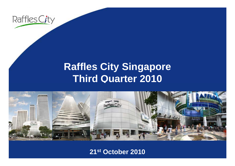

## **R ffl Cit Si affles City Singapore Third Quarter 2010**



**21st October 2010**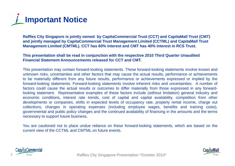

**Raffles City Singapore is jointly owned by CapitaCommercial Trust (CCT) and CapitaMall Trust (CMT) and jointly managed by CapitaCommercial Trust Management Limited (CCTML) and CapitaMall Trust**  Management Limited (CMTML). CCT has 60% interest and CMT has 40% interest in RCS Trust.

#### **This presentation shall be read in conjunction with the respective 2010 Third Quarter Unaudited Financial Statement Announcements released for CCT and CMT.**

This presentation may contain forward-looking statements. These forward-looking statements involve known and unknown risks, uncertainties and other factors that may cause the actual results, performance or achievements to be materially different from any future results, performance or achievements expressed or implied by the forward-looking statements. Forward-looking statements involve inherent risks and uncertainties. A number of factors could cause the actual results or outcomes to differ materially from those expressed in any forwardlooking statement. Representative examples of these factors include (without limitation) general industry and economic conditions, interest rate trends, cost of capital and capital availability, competition from other developments or companies, shifts in expected levels of occupancy rate, property rental income, charge out collections, changes in operating expenses (including employee wages, benefits and training costs), governmental and public policy changes and the continued availability of financing in the amounts and the terms necessary to support future business.

You are cautioned not to place undue reliance on these forward-looking statements, which are based on the current view of the CCTML and CMTML on future events.



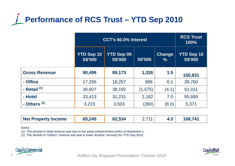# **Performance of RCS Trust – YTD Sep 2010**

|                      | CCT's 60.0% Interest                |                                     |                |                       | <b>RCS Trust</b><br>100%            |
|----------------------|-------------------------------------|-------------------------------------|----------------|-----------------------|-------------------------------------|
|                      | <b>YTD Sep 10</b><br><b>S\$'000</b> | <b>YTD Sep 09</b><br><b>S\$'000</b> | <b>S\$'000</b> | <b>Change</b><br>$\%$ | <b>YTD Sep 10</b><br><b>S\$'000</b> |
| <b>Gross Revenue</b> | 90,499                              | 89,173                              | 1,326          | 1.5                   | 150,831                             |
| - Office             | 17,256                              | 16,257                              | 999            | 6.1                   | 28,760                              |
| - Retail $(1)$       | 36,607                              | 38,182                              | (1, 575)       | (4.1)                 | 61,011                              |
| - Hotel              | 33,413                              | 31,231                              | 2,182          | 7.0                   | 55,689                              |
| - Others $(2)$       | 3,223                               | 3,503                               | (280)          | (8.0)                 | 5,371                               |

| Net Property Income | 65,245 | 62,534 | 711 |  | 108,741 |
|---------------------|--------|--------|-----|--|---------|
|---------------------|--------|--------|-----|--|---------|

Notes:

(1) The decline in retail revenue was due to the asset enhancement works on Basement 1.

(2) The decline in "Others" revenue was due to lower tenants' recovery for YTD Sep 2010.



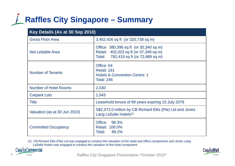## **Raffles City Singapore – Summary**

| Key Details (As at 30 Sep 2010) |                                                                                                                              |  |  |
|---------------------------------|------------------------------------------------------------------------------------------------------------------------------|--|--|
| <b>Gross Floor Area</b>         | 3,452,426 sq ft (or 320,738 sq m)                                                                                            |  |  |
| <b>Net Lettable Area</b>        | Office: 380,396 sq ft (or 35,340 sq m)<br>Retail: 402,023 sq ft (or 37,349 sq m)<br>782,419 sq ft (or 72,689 sq m)<br>Total: |  |  |
| <b>Number of Tenants</b>        | Office: 54<br>Retail: 191<br><b>Hotels &amp; Convention Centre: 1</b><br><b>Total: 246</b>                                   |  |  |
| <b>Number of Hotel Rooms</b>    | 2,030                                                                                                                        |  |  |
| <b>Carpark Lots</b>             | 1,043                                                                                                                        |  |  |
| Title                           | Leasehold tenure of 99 years expiring 15 July 2078                                                                           |  |  |
| Valuation (as at 30 Jun 2010)   | S\$2,572.0 million by CB Richard Ellis (Pte) Ltd and Jones<br>Lang LaSalle Hotels <sup>(1)</sup>                             |  |  |
| <b>Committed Occupancy</b>      | Office:<br>98.3%<br>Retail: 100.0%<br>Total:<br>99.2%                                                                        |  |  |

(1) CB Richard Ellis (Pte) Ltd was engaged to conduct the valuation of the retail and office components and Jones Lang LaSalle Hotels was engaged to conduct the valuation of the hotel component.



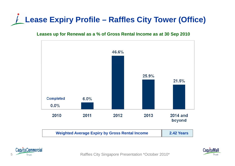# **Lease Expiry Profile – Raffles City Tower (Office)**

### **Leases up for Renewal as a % of Gross Rental Income as at 30 Sep 2010**







Trust Trust **Raffles City Singapore Presentation \*October 2010\***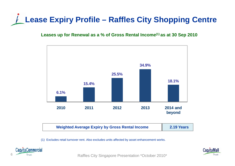# **Lease Expiry Profile – Raffles City Shopping Centre**

### **Leases up for Renewal as a % of Gross Rental Income(1) as at 30 Sep 2010**



(1) Excludes retail turnover rent. Also excludes units affected by asset enhancement works.



Trust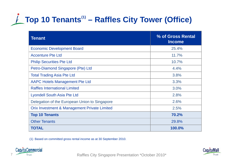# **Top 10 Tenants(1) – Raffles City Tower (Office)**

| <b>Tenant</b>                                           | % of Gross Rental<br><b>Income</b> |
|---------------------------------------------------------|------------------------------------|
| <b>Economic Development Board</b>                       | 25.4%                              |
| <b>Accenture Pte Ltd</b>                                | 11.7%                              |
| <b>Philip Securities Pte Ltd</b>                        | 10.7%                              |
| Petro-Diamond Singapore (Pte) Ltd                       | 4.4%                               |
| <b>Total Trading Asia Pte Ltd</b>                       | 3.8%                               |
| <b>AAPC Hotels Management Pte Ltd</b>                   | 3.3%                               |
| <b>Raffles International Limited</b>                    | 3.0%                               |
| <b>Lyondell South Asia Pte Ltd</b>                      | 2.8%                               |
| Delegation of the European Union to Singapore           | 2.6%                               |
| <b>Orix Investment &amp; Management Private Limited</b> | 2.5%                               |
| <b>Top 10 Tenants</b>                                   | 70.2%                              |
| <b>Other Tenants</b>                                    | 29.8%                              |
| <b>TOTAL</b>                                            | 100.0%                             |

(1) Based on committed gross rental income as at 30 September 2010 2010.



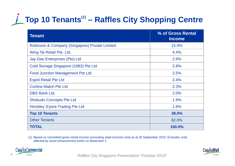# **Top 10 Tenants(1) – Raffles City Shopping Centre**

| <b>Tenant</b>                                  | % of Gross Rental<br><b>Income</b> |
|------------------------------------------------|------------------------------------|
| Robinson & Company (Singapore) Private Limited | 15.0%                              |
| Wing Tai Retail Pte. Ltd.                      | 4.4%                               |
| Jay Gee Enterprises (Pte) Ltd                  | 2.9%                               |
| Cold Storage Singapore (1983) Pte Ltd          | 2.8%                               |
| <b>Food Junction Management Pte Ltd</b>        | 2.5%                               |
| <b>Esprit Retail Pte Ltd</b>                   | 2.4%                               |
| <b>Cortina Watch Pte Ltd</b>                   | 2.3%                               |
| <b>DBS Bank Ltd.</b>                           | 2.0%                               |
| <b>Shokudo Concepts Pte Ltd</b>                | 1.9%                               |
| <b>Hinckley S'pore Trading Pte Ltd</b>         | 1.8%                               |
| <b>Top 10 Tenants</b>                          | 38.0%                              |
| <b>Other Tenants</b>                           | 62.0%                              |
| <b>TOTAL</b>                                   | 100.0%                             |

(1) Based on committed gross rental income (excluding retail turnover rent) as at 30 September 2010. Excludes units affected by asset enhancement works on Basement 1.





8 Trust Trust **Raffles City Singapore Presentation \*October 2010\***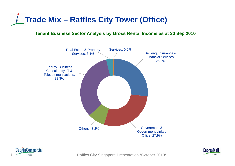

#### **Tenant Business Sector Analysis by Gross Rental Income as at 30 Sep 2010**





Trust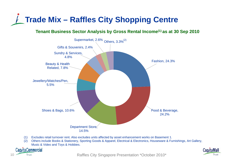

### **Tenant Business Sector Analysis by Gross Rental Income(1) as at 30 Sep 2010**



- (1) Excludes retail turnover rent. Also excludes units affected by asset enhancement works on Basement 1.
- (2) Others include Books & Stationery, Sporting Goods & Apparel, Electrical & Electronics, Houseware & Furnishings, Art Gallery, Music & Video and Toys & Hobbies.





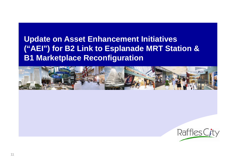### **Update on Asset Enhancement Initiatives ("AEI") for B2 Link to Esplanade MRT Station & B1 Marketplace Reconfiguration**



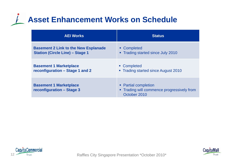## **Asset Enhancement Works on Schedule**

| <b>AEI Works</b>                                           | <b>Status</b>                                                                      |
|------------------------------------------------------------|------------------------------------------------------------------------------------|
| <b>Basement 2 Link to the New Esplanade</b>                | • Completed                                                                        |
| <b>Station (Circle Line) - Stage 1</b>                     | • Trading started since July 2010                                                  |
| <b>Basement 1 Marketplace</b>                              | • Completed                                                                        |
| reconfiguration - Stage 1 and 2                            | • Trading started since August 2010                                                |
| <b>Basement 1 Marketplace</b><br>reconfiguration - Stage 3 | • Partial completion<br>• Trading will commence progressively from<br>October 2010 |





12 Trust Trust Trust **Raffles City Singapore Presentation \*October 2010\***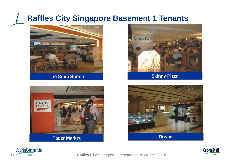## **Raffles City Singapore Basement 1 Tenants**



**The Soup Spoon Skinny Pizza** 









13 Trust Trust **Raffles City Singapore Presentation \*October 2010\*** 

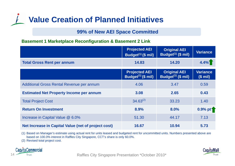## **Value Creation of Planned Initiatives**

### **99% of New AEI Space Committed**

### **Basement 1 Marketplace Reconfiguration & Basement 2 Link**

|                                                     | <b>Projected AEI</b><br>Budget $(1)$ (\$ mil) | <b>Original AEI</b><br>Budget <sup>(1)</sup> (\$ mil) | <b>Variance</b>           |
|-----------------------------------------------------|-----------------------------------------------|-------------------------------------------------------|---------------------------|
| <b>Total Gross Rent per annum</b>                   | 14.83                                         | 14.20                                                 | 4.4%                      |
|                                                     | <b>Projected AEI</b><br>Budget $(1)$ (\$ mil) | <b>Original AEI</b><br>Budget $(1)$ (\$ mil)          | <b>Variance</b><br>(\$mi) |
| Additional Gross Rental Revenue per annum           | 4.06                                          | 3.47                                                  | 0.59                      |
| <b>Estimated Net Property Income per annum</b>      | 3.08                                          | 2.65                                                  | 0.43                      |
| <b>Total Project Cost</b>                           | $34.63^{(2)}$                                 | 33.23                                                 | 1.40                      |
| <b>Return On Investment</b>                         | 8.9%                                          | 8.0%                                                  | 0.9% pt <sup>1</sup>      |
| Increase in Capital Value @ 6.0%                    | 51.30                                         | 44.17                                                 | 7.13                      |
| Net Increase in Capital Value (net of project cost) | 16.67                                         | 10.94                                                 | 5.73                      |

(1) Based on Manager's estimate using actual rent for units leased and budgeted rent for uncommitted units. Numbers presented above are based on 100.0% interest in Raffles City Singapore, CCT's share is only 60.0%.

(2) Revised total project cost.